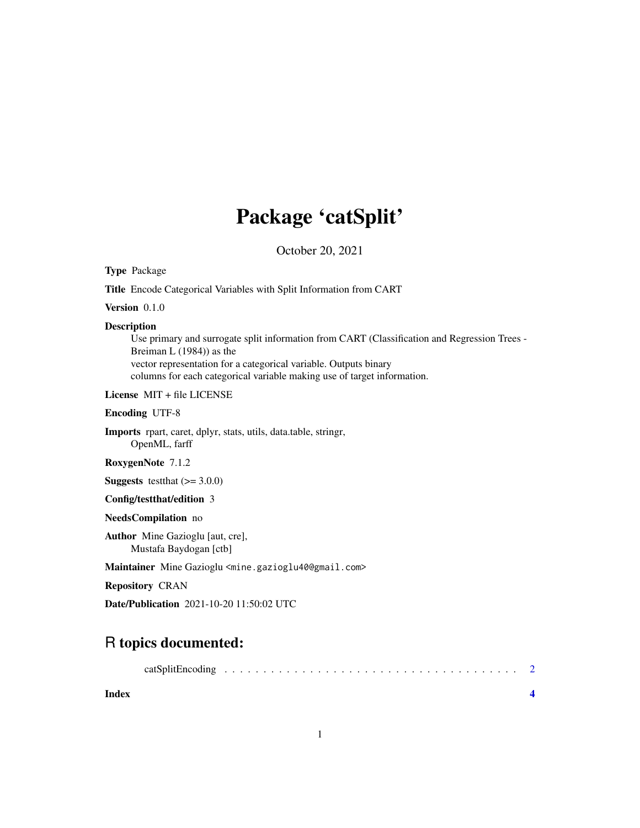## Package 'catSplit'

October 20, 2021

Type Package

Title Encode Categorical Variables with Split Information from CART

Version 0.1.0

#### Description

Use primary and surrogate split information from CART (Classification and Regression Trees - Breiman L (1984)) as the vector representation for a categorical variable. Outputs binary columns for each categorical variable making use of target information.

License MIT + file LICENSE

Encoding UTF-8

Imports rpart, caret, dplyr, stats, utils, data.table, stringr, OpenML, farff

RoxygenNote 7.1.2

**Suggests** testthat  $(>= 3.0.0)$ 

Config/testthat/edition 3

NeedsCompilation no

Author Mine Gazioglu [aut, cre], Mustafa Baydogan [ctb]

Maintainer Mine Gazioglu <mine.gazioglu40@gmail.com>

Repository CRAN

Date/Publication 2021-10-20 11:50:02 UTC

### R topics documented:

| catSplitEncoding |  |  |
|------------------|--|--|
|------------------|--|--|

**Index** [4](#page-3-0)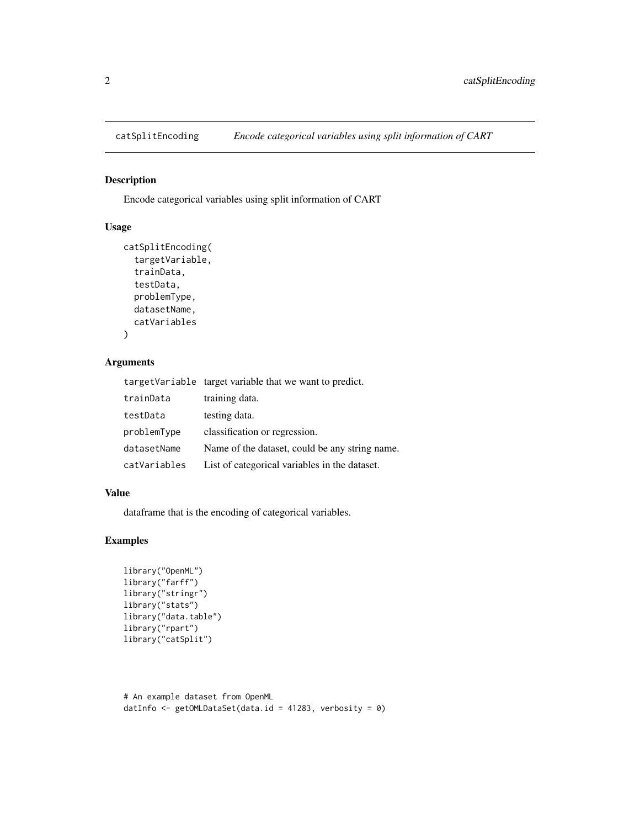<span id="page-1-0"></span>

#### Description

Encode categorical variables using split information of CART

#### Usage

```
catSplitEncoding(
  targetVariable,
  trainData,
  testData,
  problemType,
  datasetName,
  catVariables
)
```
#### Arguments

|              | targetVariable target variable that we want to predict. |
|--------------|---------------------------------------------------------|
| trainData    | training data.                                          |
| testData     | testing data.                                           |
| problemType  | classification or regression.                           |
| datasetName  | Name of the dataset, could be any string name.          |
| catVariables | List of categorical variables in the dataset.           |

#### Value

dataframe that is the encoding of categorical variables.

#### Examples

```
library("OpenML")
library("farff")
library("stringr")
library("stats")
library("data.table")
library("rpart")
library("catSplit")
```

```
# An example dataset from OpenML
datInfo <- getOMLDataSet(data.id = 41283, verbosity = 0)
```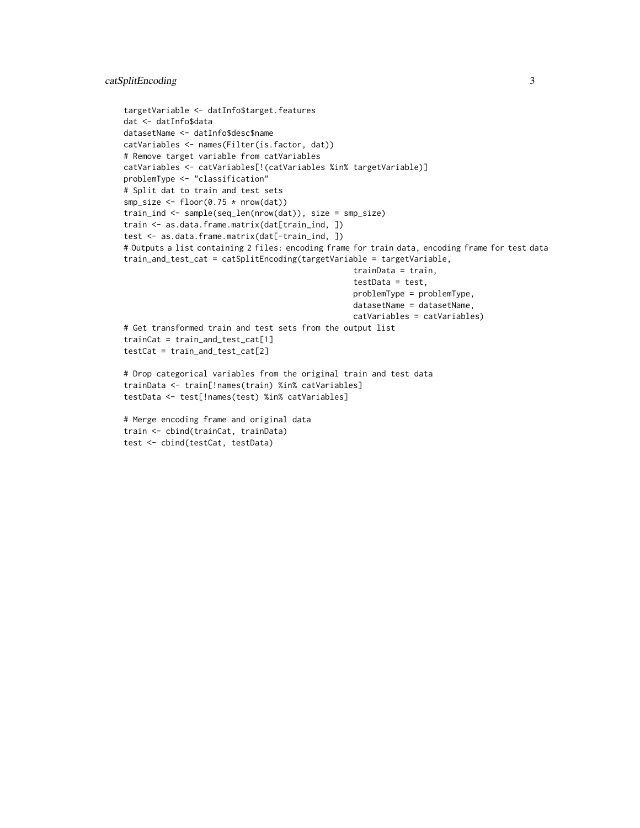```
targetVariable <- datInfo$target.features
dat <- datInfo$data
datasetName <- datInfo$desc$name
catVariables <- names(Filter(is.factor, dat))
# Remove target variable from catVariables
catVariables <- catVariables[!(catVariables %in% targetVariable)]
problemType <- "classification"
# Split dat to train and test sets
smp\_size \leftarrow floor(0.75 * nrow(data))train_ind <- sample(seq_len(nrow(dat)), size = smp_size)
train <- as.data.frame.matrix(dat[train_ind, ])
test <- as.data.frame.matrix(dat[-train_ind, ])
# Outputs a list containing 2 files: encoding frame for train data, encoding frame for test data
train_and_test_cat = catSplitEncoding(targetVariable = targetVariable,
                                                  trainData = train,
                                                  testData = test,
                                                  problemType = problemType,
                                                  datasetName = datasetName,
                                                  catVariables = catVariables)
# Get transformed train and test sets from the output list
trainCat = train_and_test_cat[1]
testCat = train_and_test_cat[2]
# Drop categorical variables from the original train and test data
trainData <- train[!names(train) %in% catVariables]
testData <- test[!names(test) %in% catVariables]
# Merge encoding frame and original data
```

```
train <- cbind(trainCat, trainData)
test <- cbind(testCat, testData)
```